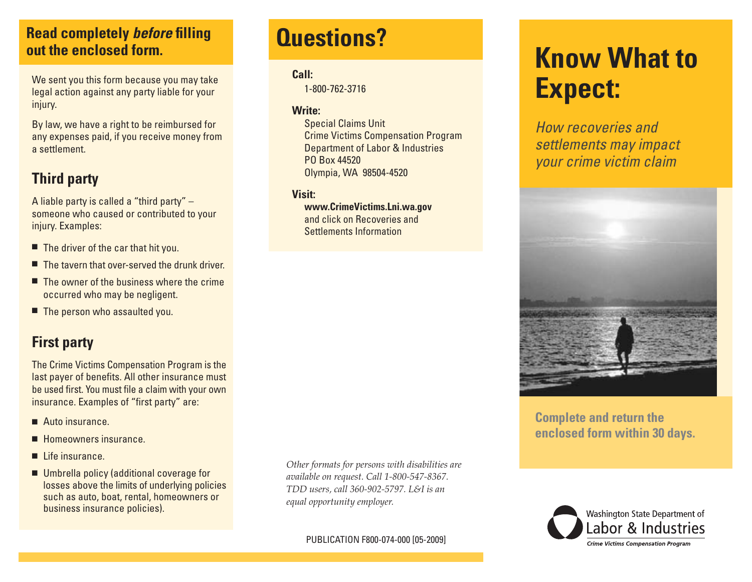# **Questions? Read completely** *before* **filling out the enclosed form.**

We sent you this form because you may take legal action against any party liable for your injury.

By law, we have a right to be reimbursed for any expenses paid, if you receive money from a settlement.

# **Third party**

A liable party is called a "third party" – someone who caused or contributed to your injury. Examples:

- $\blacksquare$  The driver of the car that hit you.
- $\blacksquare$  The tavern that over-served the drunk driver.
- $\blacksquare$  The owner of the business where the crime occurred who may be negligent.
- $\blacksquare$  The person who assaulted you.

# **First party**

The Crime Victims Compensation Program is the last payer of benefits. All other insurance must be used first. You must file a claim with your own insurance. Examples of "first party" are:

- $\blacksquare$  Auto insurance.
- $\blacksquare$  Homeowners insurance.
- $\blacksquare$  Life insurance.
- $\blacksquare$  Umbrella policy (additional coverage for losses above the limits of underlying policies such as auto, boat, rental, homeowners or business insurance policies).

*Other formats for persons with disabilities are available on request. Call 1-800-547-8367. TDD users, call 360-902-5797. L&I is an equal opportunity employer.*

PUBLICATION F800-074-000 [05-2009]

#### **Call:**

1-800-762-3716

#### **Write:**

 Special Claims Unit Crime Victims Compensation Program Department of Labor & Industries PO Box 44520 Olympia, WA 98504-4520

#### **Visit:**

 **www.CrimeVictims.Lni.wa.gov** and click on Recoveries and Settlements Information

# **Know What to Expect:**

*How recoveries and settlements may impact your crime victim claim*



#### **Complete and return the enclosed form within 30 days.**

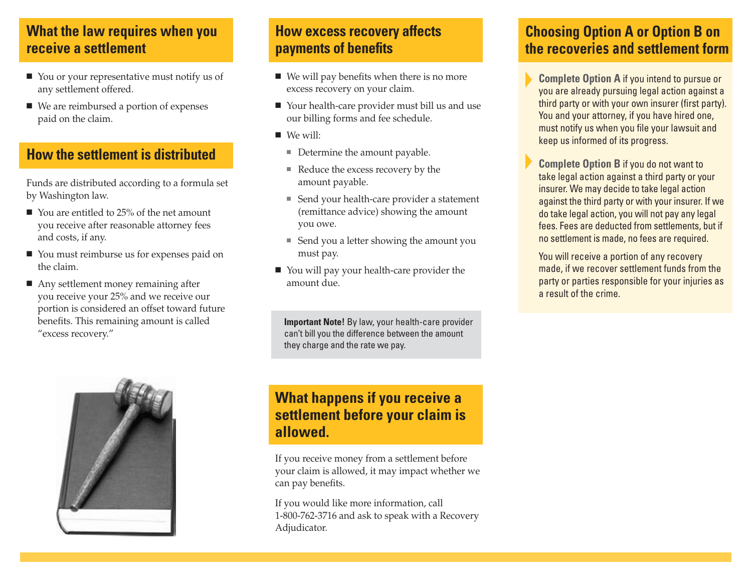# **What the law requires when you receive a settlement**

- $\blacksquare$  You or your representative must notify us of any settlement offered.
- $\blacksquare$  We are reimbursed a portion of expenses paid on the claim.

### **How the settlement is distributed**

Funds are distributed according to a formula set by Washington law.

- $\blacksquare$  You are entitled to 25% of the net amount you receive after reasonable attorney fees and costs, if any.
- You must reimburse us for expenses paid on the claim.
- $\blacksquare$  Any settlement money remaining after you receive your 25% and we receive our portion is considered an offset toward future benefits. This remaining amount is called "excess recovery."



# **How excess recovery affects payments of benefits**

- $\blacksquare$  We will pay benefits when there is no more excess recovery on your claim.
- Your health-care provider must bill us and use our billing forms and fee schedule.
- $\blacksquare$  We will:
	- $\blacksquare$  Determine the amount payable.
	- Reduce the excess recovery by the amount payable.
	- Send your health-care provider a statement (remittance advice) showing the amount you owe.
	- Send you a letter showing the amount you must pay.
- You will pay your health-care provider the amount due.

**Important Note!** By law, your health-care provider can't bill you the difference between the amount they charge and the rate we pay.

# **What happens if you receive a settlement before your claim is allowed.**

If you receive money from a settlement before your claim is allowed, it may impact whether we can pay benefits.

If you would like more information, call 1-800-762-3716 and ask to speak with a Recovery Adjudicator.

# **Choosing Option A or Option B on the recoveries and settlement form**

- **Complete Option A** if you intend to pursue or you are already pursuing legal action against a third party or with your own insurer (first party). You and your attorney, if you have hired one, must notify us when you file your lawsuit and keep us informed of its progress.
- **Complete Option B** if you do not want to take legal action against a third party or your insurer. We may decide to take legal action against the third party or with your insurer. If we do take legal action, you will not pay any legal fees. Fees are deducted from settlements, but if no settlement is made, no fees are required.
- You will receive a portion of any recovery made, if we recover settlement funds from the party or parties responsible for your injuries as a result of the crime.